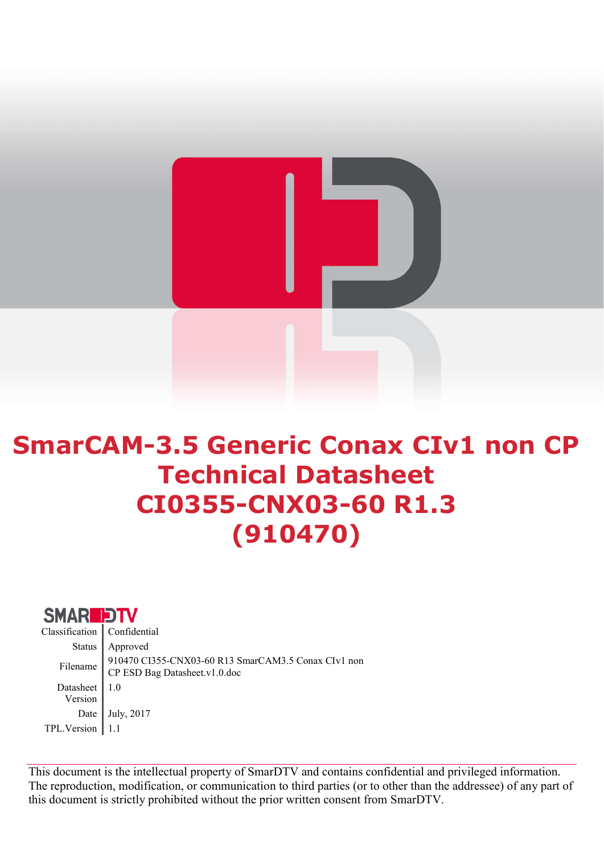

# SmarCAM-3.5 Generic Conax CIv1 non CP Technical Datasheet CI0355-CNX03-60 R1.3 (910470)



This document is the intellectual property of SmarDTV and contains confidential and privileged information. The reproduction, modification, or communication to third parties (or to other than the addressee) of any part of this document is strictly prohibited without the prior written consent from SmarDTV.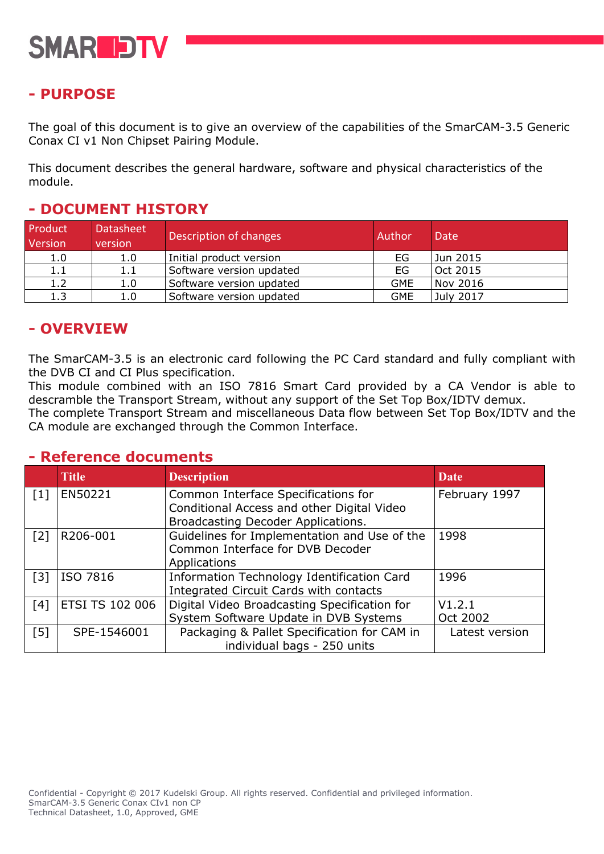

# - PURPOSE

The goal of this document is to give an overview of the capabilities of the SmarCAM-3.5 Generic Conax CI v1 Non Chipset Pairing Module.

This document describes the general hardware, software and physical characteristics of the module.

#### Product Version Datasheet version Description of changes **Author** Date 1.0 | 1.0 | Initial product version | EG | Jun 2015 1.1 | 1.1 | Software version updated | EG | Oct 2015 1.2 | 1.0 | Software version updated GME | Nov 2016 1.3 | 1.0 | Software version updated | GME | July 2017

## - DOCUMENT HISTORY

## - OVERVIEW

The SmarCAM-3.5 is an electronic card following the PC Card standard and fully compliant with the DVB CI and CI Plus specification.

This module combined with an ISO 7816 Smart Card provided by a CA Vendor is able to descramble the Transport Stream, without any support of the Set Top Box/IDTV demux.

The complete Transport Stream and miscellaneous Data flow between Set Top Box/IDTV and the CA module are exchanged through the Common Interface.

#### - Reference documents

|                   | <b>Title</b>           | <b>Description</b>                           | <b>Date</b>    |
|-------------------|------------------------|----------------------------------------------|----------------|
| $\lceil 1 \rceil$ | EN50221                | Common Interface Specifications for          | February 1997  |
|                   |                        | Conditional Access and other Digital Video   |                |
|                   |                        | Broadcasting Decoder Applications.           |                |
| $\lceil 2 \rceil$ | R206-001               | Guidelines for Implementation and Use of the | 1998           |
|                   |                        | Common Interface for DVB Decoder             |                |
|                   |                        | Applications                                 |                |
| $\lceil 3 \rceil$ | ISO 7816               | Information Technology Identification Card   | 1996           |
|                   |                        | Integrated Circuit Cards with contacts       |                |
| [4]               | <b>ETSI TS 102 006</b> | Digital Video Broadcasting Specification for | V1.2.1         |
|                   |                        | System Software Update in DVB Systems        | Oct 2002       |
| $\lceil 5 \rceil$ | SPE-1546001            | Packaging & Pallet Specification for CAM in  | Latest version |
|                   |                        | individual bags - 250 units                  |                |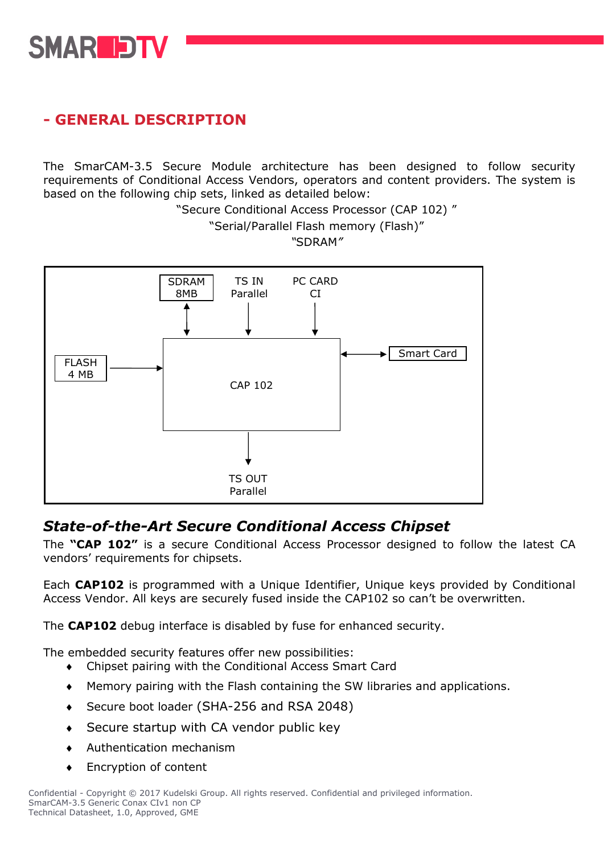

# - GENERAL DESCRIPTION

The SmarCAM-3.5 Secure Module architecture has been designed to follow security requirements of Conditional Access Vendors, operators and content providers. The system is based on the following chip sets, linked as detailed below:

"Secure Conditional Access Processor (CAP 102) "

"Serial/Parallel Flash memory (Flash)" *"*SDRAM*"*



## *State-of-the-Art Secure Conditional Access Chipset*

The "CAP 102" is a secure Conditional Access Processor designed to follow the latest CA vendors' requirements for chipsets.

Each CAP102 is programmed with a Unique Identifier, Unique keys provided by Conditional Access Vendor. All keys are securely fused inside the CAP102 so can't be overwritten.

The CAP102 debug interface is disabled by fuse for enhanced security.

The embedded security features offer new possibilities:

- Chipset pairing with the Conditional Access Smart Card
- Memory pairing with the Flash containing the SW libraries and applications.
- ◆ Secure boot loader (SHA-256 and RSA 2048)
- ◆ Secure startup with CA vendor public key
- Authentication mechanism
- ◆ Encryption of content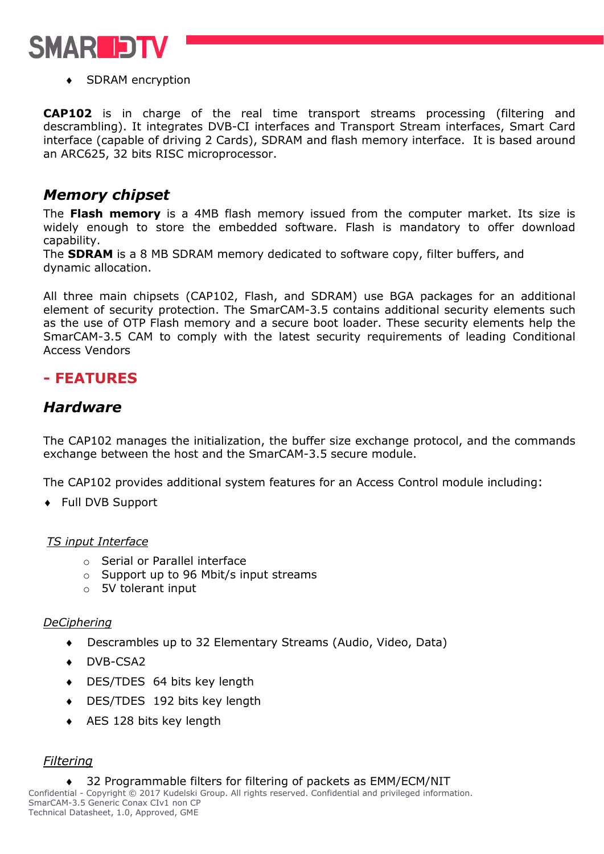

◆ SDRAM encryption

CAP102 is in charge of the real time transport streams processing (filtering and descrambling). It integrates DVB-CI interfaces and Transport Stream interfaces, Smart Card interface (capable of driving 2 Cards), SDRAM and flash memory interface. It is based around an ARC625, 32 bits RISC microprocessor.

# *Memory chipset*

The Flash memory is a 4MB flash memory issued from the computer market. Its size is widely enough to store the embedded software. Flash is mandatory to offer download capability.

The **SDRAM** is a 8 MB SDRAM memory dedicated to software copy, filter buffers, and dynamic allocation.

All three main chipsets (CAP102, Flash, and SDRAM) use BGA packages for an additional element of security protection. The SmarCAM-3.5 contains additional security elements such as the use of OTP Flash memory and a secure boot loader. These security elements help the SmarCAM-3.5 CAM to comply with the latest security requirements of leading Conditional Access Vendors

# - FEATURES

## *Hardware*

The CAP102 manages the initialization, the buffer size exchange protocol, and the commands exchange between the host and the SmarCAM-3.5 secure module.

The CAP102 provides additional system features for an Access Control module including:

Full DVB Support

#### *TS input Interface*

- o Serial or Parallel interface
- o Support up to 96 Mbit/s input streams
- o 5V tolerant input

#### *DeCiphering*

- Descrambles up to 32 Elementary Streams (Audio, Video, Data)
- DVB-CSA2
- DES/TDES 64 bits key length
- DES/TDES 192 bits key length
- AES 128 bits key length

#### *Filtering*

◆ 32 Programmable filters for filtering of packets as EMM/ECM/NIT

Confidential - Copyright © 2017 Kudelski Group. All rights reserved. Confidential and privileged information. SmarCAM-3.5 Generic Conax CIv1 non CP Technical Datasheet, 1.0, Approved, GME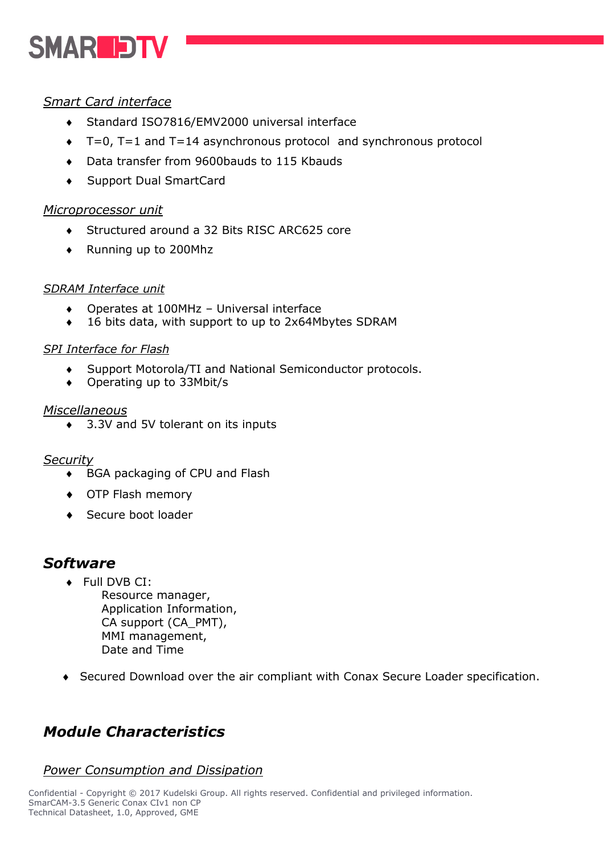# **SMARIDTV**

### *Smart Card interface*

- Standard ISO7816/EMV2000 universal interface
- T=0, T=1 and T=14 asynchronous protocol and synchronous protocol
- Data transfer from 9600bauds to 115 Kbauds
- Support Dual SmartCard

#### *Microprocessor unit*

- ◆ Structured around a 32 Bits RISC ARC625 core
- Running up to 200Mhz

#### *SDRAM Interface unit*

- Operates at 100MHz Universal interface
- ◆ 16 bits data, with support to up to 2x64Mbytes SDRAM

#### *SPI Interface for Flash*

- Support Motorola/TI and National Semiconductor protocols.
- Operating up to 33Mbit/s

#### *Miscellaneous*

◆ 3.3V and 5V tolerant on its inputs

#### *Security*

- ◆ BGA packaging of CPU and Flash
- OTP Flash memory
- ◆ Secure boot loader

# *Software*

- ◆ Full DVB CI: Resource manager, Application Information, CA support (CA\_PMT), MMI management, Date and Time
- Secured Download over the air compliant with Conax Secure Loader specification.

# *Module Characteristics*

#### *Power Consumption and Dissipation*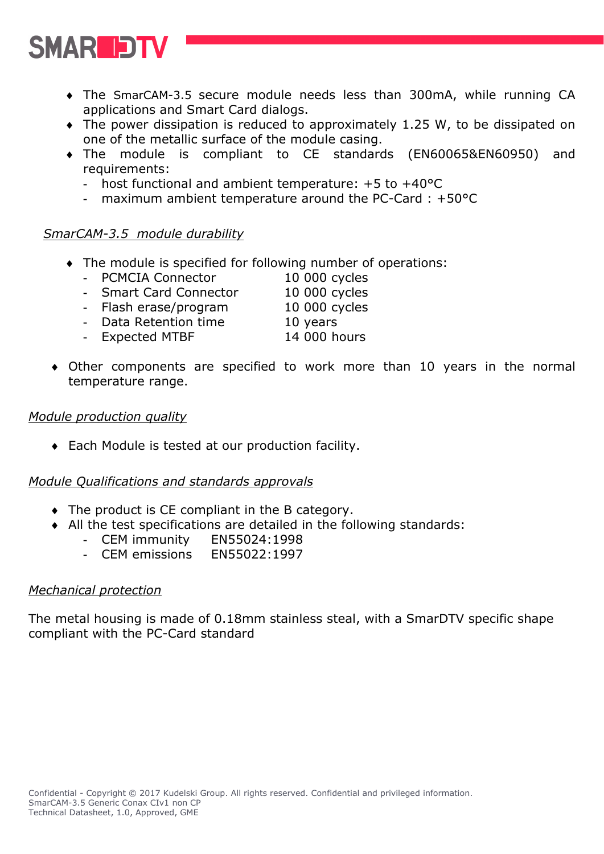

- The SmarCAM-3.5 secure module needs less than 300mA, while running CA applications and Smart Card dialogs.
- The power dissipation is reduced to approximately 1.25 W, to be dissipated on one of the metallic surface of the module casing.
- The module is compliant to CE standards (EN60065&EN60950) and requirements:
	- host functional and ambient temperature: +5 to +40°C
	- maximum ambient temperature around the PC-Card : +50°C

#### *SmarCAM-3.5 module durability*

- The module is specified for following number of operations:
	- PCMCIA Connector 10 000 cycles
	- Smart Card Connector 10 000 cycles
		-
	- Flash erase/program 10 000 cycles
	- Data Retention time 10 years
	- Expected MTBF 14 000 hours
		-
- Other components are specified to work more than 10 years in the normal temperature range.

#### *Module production quality*

Each Module is tested at our production facility.

#### *Module Qualifications and standards approvals*

- The product is CE compliant in the B category.
- All the test specifications are detailed in the following standards:
	- CEM immunity EN55024:1998
	- CEM emissions EN55022:1997

#### *Mechanical protection*

The metal housing is made of 0.18mm stainless steal, with a SmarDTV specific shape compliant with the PC-Card standard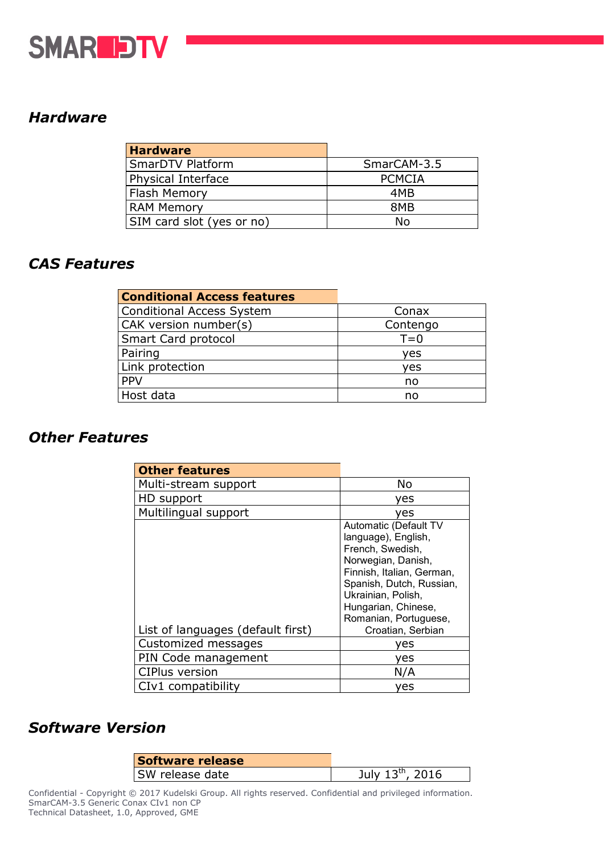

# *Hardware*

| <b>Hardware</b>           |               |
|---------------------------|---------------|
| <b>SmarDTV Platform</b>   | SmarCAM-3.5   |
| Physical Interface        | <b>PCMCIA</b> |
| Flash Memory              | 4MB           |
| <b>RAM Memory</b>         | 8MB           |
| SIM card slot (yes or no) | N٥            |

## *CAS Features*

| <b>Conditional Access features</b> |          |
|------------------------------------|----------|
| <b>Conditional Access System</b>   | Conax    |
| CAK version number(s)              | Contengo |
| Smart Card protocol                | $T=0$    |
| Pairing                            | ves      |
| Link protection                    | ves      |
| <b>PPV</b>                         | no       |
| Host data                          | no       |

## *Other Features*

| <b>Other features</b>             |                                                                                                                                                                                                                       |
|-----------------------------------|-----------------------------------------------------------------------------------------------------------------------------------------------------------------------------------------------------------------------|
| Multi-stream support              | No                                                                                                                                                                                                                    |
| HD support                        | ves                                                                                                                                                                                                                   |
| Multilingual support              | ves                                                                                                                                                                                                                   |
|                                   | Automatic (Default TV<br>language), English,<br>French, Swedish,<br>Norwegian, Danish,<br>Finnish, Italian, German,<br>Spanish, Dutch, Russian,<br>Ukrainian, Polish,<br>Hungarian, Chinese,<br>Romanian, Portuguese, |
| List of languages (default first) | Croatian, Serbian                                                                                                                                                                                                     |
| Customized messages               | ves                                                                                                                                                                                                                   |
| PIN Code management               | ves                                                                                                                                                                                                                   |
| <b>CIPlus version</b>             | N/A                                                                                                                                                                                                                   |
| CIv1 compatibility                | ves                                                                                                                                                                                                                   |

## *Software Version*

| Software release |                       |
|------------------|-----------------------|
| SW release date  | July $13^{th}$ , 2016 |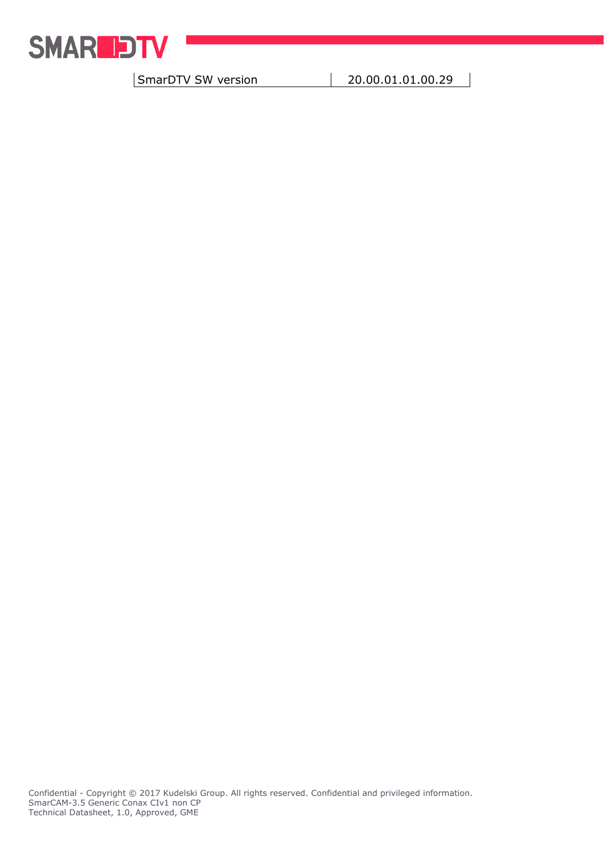

| SmarDTV SW version | 20.00.01.01.00.29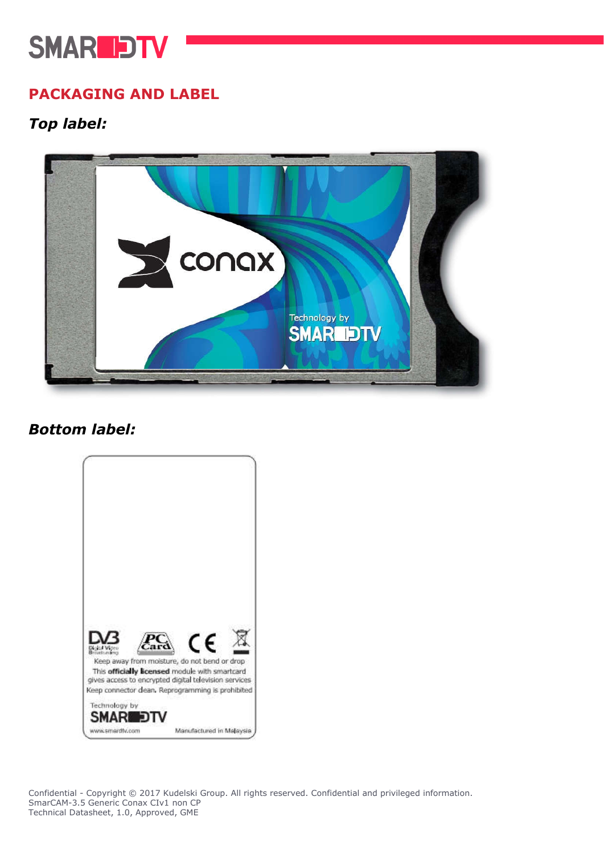# **SMARLDTV**

# PACKAGING AND LABEL

# *Top label:*



# *Bottom label:*



Confidential - Copyright © 2017 Kudelski Group. All rights reserved. Confidential and privileged information. SmarCAM-3.5 Generic Conax CIv1 non CP Technical Datasheet, 1.0, Approved, GME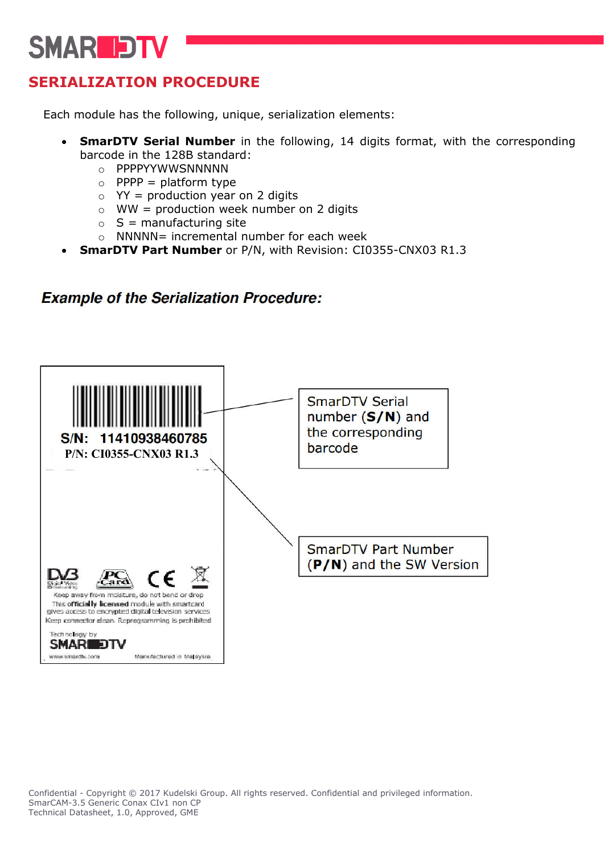# **SMARIDTV**

# SERIALIZATION PROCEDURE

Each module has the following, unique, serialization elements:

- SmarDTV Serial Number in the following, 14 digits format, with the corresponding barcode in the 128B standard:
	- o PPPPYYWWSNNNNN
	- $\circ$  PPPP = platform type
	- $\circ$  YY = production year on 2 digits
	- $\circ$  WW = production week number on 2 digits
	- $\circ$  S = manufacturing site
	- $\circ$  NNNNN= incremental number for each week
- SmarDTV Part Number or P/N, with Revision: CI0355-CNX03 R1.3

## **Example of the Serialization Procedure:**